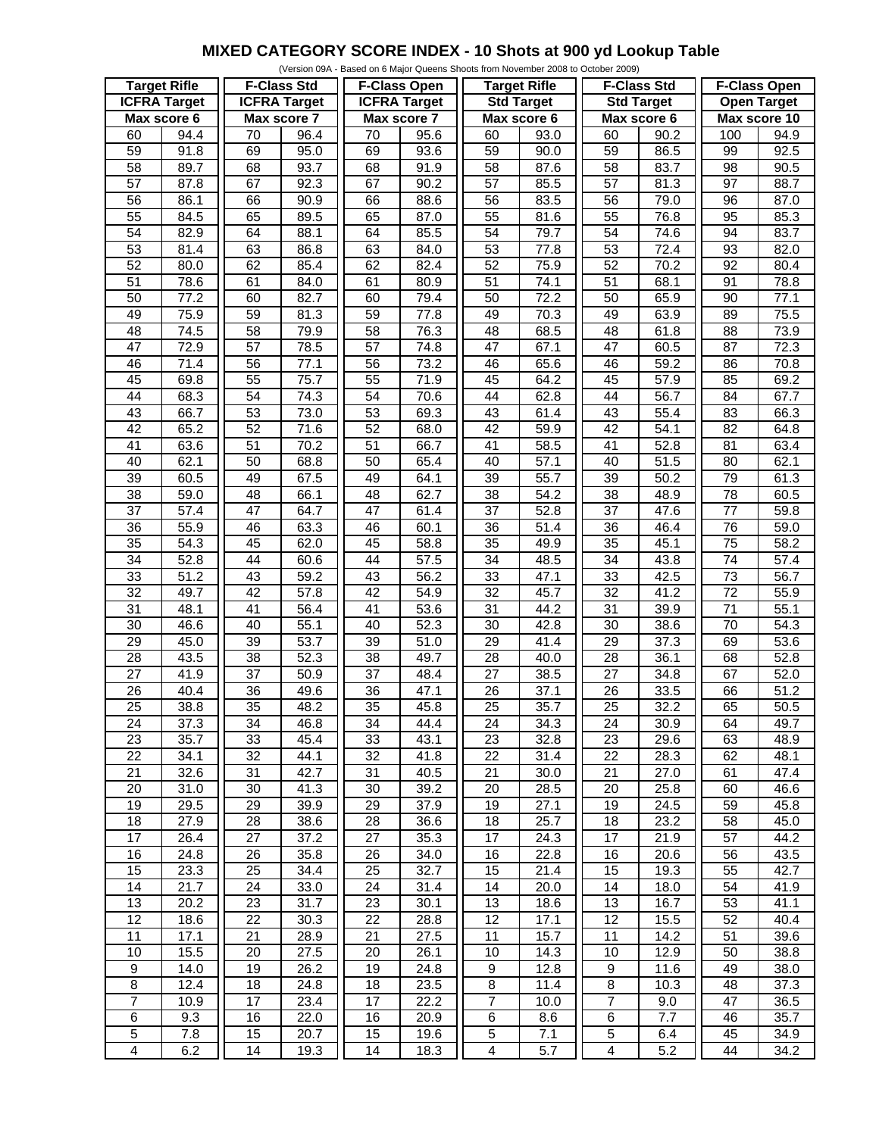## **MIXED CATEGORY SCORE INDEX - 10 Shots at 900 yd Lookup Table**

|                     |                   |                     |                   |                     |      | (Version 09A - Based on 6 Major Queens Shoots from November 2008 to October 2009) |                   |                         |                   |                     |                   |
|---------------------|-------------------|---------------------|-------------------|---------------------|------|-----------------------------------------------------------------------------------|-------------------|-------------------------|-------------------|---------------------|-------------------|
| <b>Target Rifle</b> |                   | <b>F-Class Std</b>  |                   | <b>F-Class Open</b> |      | <b>Target Rifle</b>                                                               |                   | <b>F-Class Std</b>      |                   | <b>F-Class Open</b> |                   |
| <b>ICFRA Target</b> |                   | <b>ICFRA Target</b> |                   | <b>ICFRA</b> Target |      | <b>Std Target</b>                                                                 |                   | <b>Std Target</b>       |                   | <b>Open Target</b>  |                   |
| Max score 6         |                   | Max score 7         |                   | Max score 7         |      | Max score 6                                                                       |                   | Max score 6             |                   | Max score 10        |                   |
| 60                  | 94.4              | 70                  | 96.4              | 70                  | 95.6 | 60                                                                                | 93.0              | 60                      | 90.2              | 100                 | 94.9              |
| 59                  | 91.8              | 69                  | 95.0              | 69                  | 93.6 | 59                                                                                | 90.0              | 59                      | 86.5              | 99                  | 92.5              |
| 58                  | 89.7              | 68                  | 93.7              | 68                  | 91.9 | 58                                                                                | 87.6              | 58                      | 83.7              | 98                  | 90.5              |
| $\overline{57}$     | 87.8              | 67                  | 92.3              | 67                  | 90.2 | $\overline{57}$                                                                   | 85.5              | $\overline{57}$         | 81.3              | $\overline{97}$     | 88.7              |
| 56                  | 86.1              | 66                  | 90.9              | 66                  | 88.6 | 56                                                                                | 83.5              | 56                      | 79.0              | 96                  | 87.0              |
|                     |                   |                     |                   |                     |      |                                                                                   |                   |                         |                   |                     |                   |
| 55                  | 84.5              | 65                  | 89.5              | 65                  | 87.0 | 55                                                                                | 81.6              | 55                      | 76.8              | 95                  | 85.3              |
| 54                  | 82.9              | 64                  | 88.1              | 64                  | 85.5 | 54                                                                                | 79.7              | 54                      | 74.6              | 94                  | 83.7              |
| 53                  | 81.4              | 63                  | 86.8              | 63                  | 84.0 | 53                                                                                | $\overline{77.8}$ | 53                      | 72.4              | 93                  | 82.0              |
| 52                  | 80.0              | 62                  | 85.4              | 62                  | 82.4 | 52                                                                                | 75.9              | $\overline{52}$         | 70.2              | $\overline{92}$     | 80.4              |
| $\overline{51}$     | 78.6              | 61                  | 84.0              | 61                  | 80.9 | $\overline{51}$                                                                   | 74.1              | $\overline{51}$         | 68.1              | 91                  | 78.8              |
| 50                  | 77.2              | 60                  | 82.7              | 60                  | 79.4 | 50                                                                                | 72.2              | 50                      | 65.9              | 90                  | 77.1              |
| 49                  | 75.9              | 59                  | 81.3              | 59                  | 77.8 | 49                                                                                | 70.3              | 49                      | 63.9              | 89                  | 75.5              |
| 48                  | 74.5              | 58                  | 79.9              | 58                  | 76.3 | 48                                                                                | 68.5              | 48                      | 61.8              | 88                  | 73.9              |
| 47                  | 72.9              | 57                  | 78.5              | $\overline{57}$     | 74.8 | $\overline{47}$                                                                   | 67.1              | 47                      | 60.5              | $\overline{87}$     | 72.3              |
| 46                  | 71.4              | 56                  | $\overline{77.1}$ | $\overline{56}$     | 73.2 | 46                                                                                | 65.6              | 46                      | 59.2              | 86                  | 70.8              |
| 45                  | 69.8              | 55                  | 75.7              | 55                  | 71.9 | 45                                                                                | 64.2              | 45                      | 57.9              | 85                  | 69.2              |
| 44                  | 68.3              | $\overline{54}$     | $\overline{74.3}$ | $\overline{54}$     | 70.6 | 44                                                                                | 62.8              | 44                      | 56.7              | 84                  | 67.7              |
| 43                  | 66.7              | 53                  | 73.0              | 53                  | 69.3 | 43                                                                                | 61.4              | 43                      | 55.4              | 83                  | 66.3              |
| 42                  | 65.2              | 52                  | 71.6              | 52                  | 68.0 | $\overline{42}$                                                                   | 59.9              | $\overline{42}$         | 54.1              | $\overline{82}$     | 64.8              |
| $\overline{41}$     | 63.6              | 51                  | 70.2              | 51                  | 66.7 | $\overline{41}$                                                                   | 58.5              | 41                      | 52.8              | 81                  | 63.4              |
| 40                  | 62.1              | $\overline{50}$     | 68.8              | 50                  | 65.4 | 40                                                                                | 57.1              | 40                      | 51.5              | 80                  | 62.1              |
|                     |                   |                     |                   |                     |      |                                                                                   |                   |                         |                   |                     |                   |
| $\overline{39}$     | 60.5              | 49                  | 67.5              | 49                  | 64.1 | $\overline{39}$                                                                   | 55.7              | $\overline{39}$         | 50.2              | 79                  | 61.3              |
| 38                  | 59.0              | 48                  | 66.1              | 48                  | 62.7 | 38                                                                                | 54.2              | 38                      | 48.9              | 78                  | 60.5              |
| $\overline{37}$     | $\overline{57.4}$ | 47                  | 64.7              | $\overline{47}$     | 61.4 | $\overline{37}$                                                                   | 52.8              | $\overline{37}$         | 47.6              | $\overline{77}$     | 59.8              |
| $\overline{36}$     | 55.9              | 46                  | 63.3              | 46                  | 60.1 | 36                                                                                | 51.4              | $\overline{36}$         | 46.4              | $\overline{76}$     | 59.0              |
| 35                  | 54.3              | 45                  | 62.0              | 45                  | 58.8 | 35                                                                                | 49.9              | 35                      | 45.1              | 75                  | 58.2              |
| 34                  | 52.8              | 44                  | 60.6              | 44                  | 57.5 | $\overline{34}$                                                                   | 48.5              | $\overline{34}$         | 43.8              | $\overline{74}$     | $\overline{57.4}$ |
| 33                  | 51.2              | 43                  | 59.2              | 43                  | 56.2 | 33                                                                                | $\overline{47}.1$ | 33                      | 42.5              | 73                  | 56.7              |
| $\overline{32}$     | 49.7              | 42                  | $\overline{57.8}$ | 42                  | 54.9 | $\overline{32}$                                                                   | 45.7              | $\overline{32}$         | 41.2              | $\overline{72}$     | 55.9              |
| 31                  | 48.1              | $\overline{41}$     | 56.4              | 41                  | 53.6 | 31                                                                                | 44.2              | 31                      | 39.9              | $\overline{71}$     | 55.1              |
| 30                  | 46.6              | 40                  | 55.1              | 40                  | 52.3 | $\overline{30}$                                                                   | 42.8              | $\overline{30}$         | 38.6              | 70                  | 54.3              |
| $\overline{29}$     | 45.0              | $\overline{39}$     | $\overline{53.7}$ | $\overline{39}$     | 51.0 | $\overline{29}$                                                                   | 41.4              | $\overline{29}$         | $\overline{37.3}$ | 69                  | 53.6              |
| 28                  | 43.5              | 38                  | 52.3              | 38                  | 49.7 | 28                                                                                | 40.0              | 28                      | 36.1              | 68                  | 52.8              |
| $\overline{27}$     | 41.9              | $\overline{37}$     | 50.9              | $\overline{37}$     | 48.4 | $\overline{27}$                                                                   | 38.5              | $\overline{27}$         | 34.8              | 67                  | 52.0              |
| $\overline{26}$     | 40.4              | $\overline{36}$     | 49.6              | $\overline{36}$     | 47.1 | $\overline{26}$                                                                   | 37.1              | $\overline{26}$         | 33.5              | 66                  | 51.2              |
| $\overline{25}$     | 38.8              | $\overline{35}$     | 48.2              | $\overline{35}$     | 45.8 | $\overline{25}$                                                                   | 35.7              | $\overline{25}$         | 32.2              | 65                  | 50.5              |
| 24                  | 37.3              | 34                  | 46.8              | 34                  | 44.4 | 24                                                                                | 34.3              | 24                      | 30.9              | 64                  | 49.7              |
| 23                  | 35.7              | 33                  | 45.4              | 33                  | 43.1 | 23                                                                                | 32.8              | 23                      | 29.6              | 63                  | 48.9              |
| 22                  | 34.1              | 32                  | 44.1              | 32                  | 41.8 | 22                                                                                | 31.4              | 22                      | 28.3              | 62                  | 48.1              |
|                     |                   | 31                  |                   |                     |      |                                                                                   |                   |                         |                   |                     |                   |
| 21                  | 32.6              |                     | 42.7              | 31                  | 40.5 | 21                                                                                | 30.0              | 21                      | 27.0              | 61                  | 47.4              |
| 20                  | 31.0              | 30                  | 41.3              | 30                  | 39.2 | 20                                                                                | 28.5              | 20                      | 25.8              | 60                  | 46.6              |
| 19                  | 29.5              | 29                  | 39.9              | 29                  | 37.9 | 19                                                                                | 27.1              | 19                      | 24.5              | 59                  | 45.8              |
| 18                  | 27.9              | 28                  | 38.6              | 28                  | 36.6 | 18                                                                                | 25.7              | 18                      | 23.2              | 58                  | 45.0              |
| $\overline{17}$     | 26.4              | 27                  | 37.2              | 27                  | 35.3 | 17                                                                                | 24.3              | 17                      | 21.9              | 57                  | 44.2              |
| 16                  | 24.8              | 26                  | 35.8              | 26                  | 34.0 | 16                                                                                | 22.8              | 16                      | 20.6              | 56                  | 43.5              |
| 15                  | 23.3              | 25                  | 34.4              | 25                  | 32.7 | 15                                                                                | 21.4              | 15                      | 19.3              | 55                  | 42.7              |
| 14                  | $\overline{2}1.7$ | 24                  | 33.0              | 24                  | 31.4 | 14                                                                                | 20.0              | 14                      | 18.0              | 54                  | 41.9              |
| 13                  | 20.2              | 23                  | 31.7              | 23                  | 30.1 | 13                                                                                | 18.6              | 13                      | 16.7              | 53                  | 41.1              |
| 12                  | 18.6              | 22                  | 30.3              | 22                  | 28.8 | 12                                                                                | 17.1              | 12                      | 15.5              | 52                  | 40.4              |
| 11                  | 17.1              | 21                  | 28.9              | 21                  | 27.5 | 11                                                                                | 15.7              | 11                      | 14.2              | 51                  | 39.6              |
| 10                  | 15.5              | 20                  | 27.5              | 20                  | 26.1 | 10                                                                                | 14.3              | 10                      | 12.9              | 50                  | 38.8              |
| $\boldsymbol{9}$    | 14.0              | 19                  | $\overline{2}6.2$ | 19                  | 24.8 | 9                                                                                 | 12.8              | 9                       | 11.6              | 49                  | 38.0              |
| $\bf 8$             | 12.4              | 18                  | 24.8              | 18                  | 23.5 | 8                                                                                 | 11.4              | 8                       | 10.3              | 48                  | 37.3              |
| $\overline{7}$      | 10.9              | 17                  | 23.4              | 17                  | 22.2 | $\overline{7}$                                                                    | 10.0              | $\overline{7}$          | 9.0               | 47                  | 36.5              |
| $\,6\,$             | 9.3               | 16                  | 22.0              | 16                  | 20.9 | 6                                                                                 | 8.6               | 6                       | 7.7               | 46                  | 35.7              |
| $\mathbf 5$         |                   |                     | 20.7              |                     |      | 5                                                                                 | 7.1               | 5                       |                   |                     |                   |
|                     | 7.8               | 15                  |                   | 15                  | 19.6 |                                                                                   |                   |                         | 6.4               | 45                  | 34.9              |
| $\overline{4}$      | 6.2               | 14                  | 19.3              | 14                  | 18.3 | $\overline{\mathbf{4}}$                                                           | 5.7               | $\overline{\mathbf{4}}$ | 5.2               | 44                  | 34.2              |